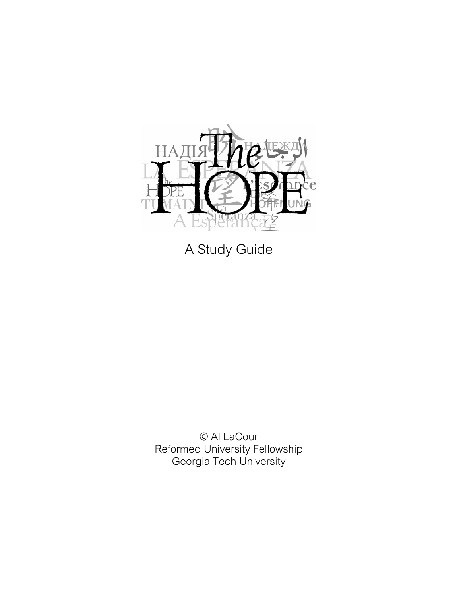

A Study Guide

© Al LaCour Reformed University Fellowship Georgia Tech University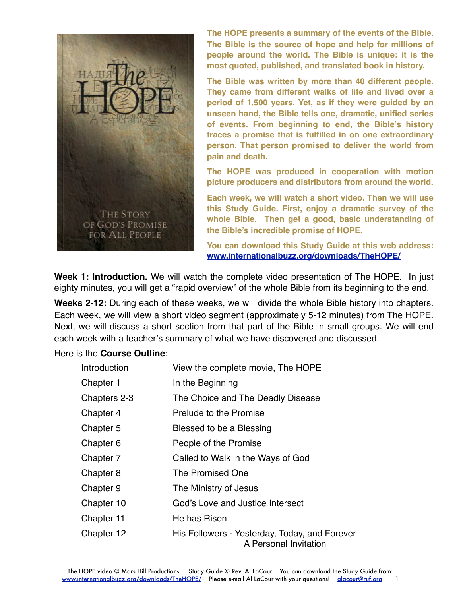

**The HOPE presents a summary of the events of the Bible. The Bible is the source of hope and help for millions of people around the world. The Bible is unique: it is the most quoted, published, and translated book in history.**

**The Bible was written by more than 40 different people. They came from different walks of life and lived over a period of 1,500 years. Yet, as if they were guided by an unseen hand, the Bible tells one, dramatic, unified series of events. From beginning to end, the Bible's history traces a promise that is fulfilled in on one extraordinary person. That person promised to deliver the world from pain and death.**

**The HOPE was produced in cooperation with motion picture producers and distributors from around the world.**

**Each week, we will watch a short video. Then we will use this Study Guide. First, enjoy a dramatic survey of the whole Bible. Then get a good, basic understanding of the Bible's incredible promise of HOPE.**

**You can download this Study Guide at this web address: www.internationalbuzz.org/downloads/TheHOPE/**

**Week 1: Introduction.** We will watch the complete video presentation of The HOPE. In just eighty minutes, you will get a "rapid overview" of the whole Bible from its beginning to the end.

**Weeks 2-12:** During each of these weeks, we will divide the whole Bible history into chapters. Each week, we will view a short video segment (approximately 5-12 minutes) from The HOPE. Next, we will discuss a short section from that part of the Bible in small groups. We will end each week with a teacher's summary of what we have discovered and discussed.

#### Here is the **Course Outline**:

| Introduction | View the complete movie, The HOPE                                      |
|--------------|------------------------------------------------------------------------|
| Chapter 1    | In the Beginning                                                       |
| Chapters 2-3 | The Choice and The Deadly Disease                                      |
| Chapter 4    | Prelude to the Promise                                                 |
| Chapter 5    | Blessed to be a Blessing                                               |
| Chapter 6    | People of the Promise                                                  |
| Chapter 7    | Called to Walk in the Ways of God                                      |
| Chapter 8    | The Promised One                                                       |
| Chapter 9    | The Ministry of Jesus                                                  |
| Chapter 10   | God's Love and Justice Intersect                                       |
| Chapter 11   | He has Risen                                                           |
| Chapter 12   | His Followers - Yesterday, Today, and Forever<br>A Personal Invitation |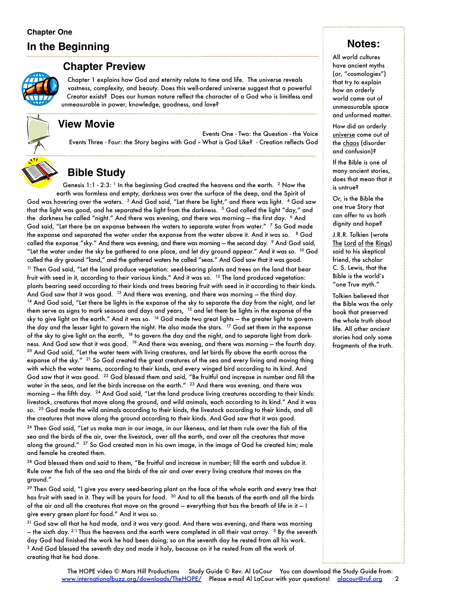#### **Chapter One**

# **In the Beginning**



#### **Chapter Preview**

Chapter 1 explains how God and eternity relate to time and life. The universe reveals vastness, complexity, and beauty. Does this well-ordered universe suggest that a powerful Creator exists? Does our human nature reflect the character of a God who is limitless and unmeasurable in power, knowledge, goodness, and love?

## **View Movie**

Events One - Two: the Question - the Voice Events Three - Four: the Story begins with God - What is God Like? - Creation reflects God



# **Bible Study**

Genesis  $1:1$  -  $2:3:$  <sup>1</sup> In the beginning God created the heavens and the earth. <sup>2</sup> Now the earth was formless and empty, darkness was over the surface of the deep, and the Spirit of God was hovering over the waters. <sup>3</sup> And God said, "Let there be light," and there was light. <sup>4</sup> God saw that the light was good, and he separated the light from the darkness. <sup>5</sup> God called the light "day," and the darkness he called "night." And there was evening, and there was morning - the first day. 6 And God said, "Let there be an expanse between the waters to separate water from water."  $\frac{7}{5}$  So God made the expanse and separated the water under the expanse from the water above it. And it was so. 8 God called the expanse "sky." And there was evening, and there was morning - the second day. 9 And God said, "Let the water under the sky be gathered to one place, and let dry ground appear." And it was so.  $^{10}$  God called the dry ground "land," and the gathered waters he called "seas." And God saw that it was good.  $11$  Then God said, "Let the land produce vegetation: seed-bearing plants and trees on the land that bear fruit with seed in it, according to their various kinds." And it was so. 12 The land produced vegetation: plants bearing seed according to their kinds and trees bearing fruit with seed in it according to their kinds. And God saw that it was good.  $13$  And there was evening, and there was morning — the third day. <sup>14</sup> And God said, "Let there be lights in the expanse of the sky to separate the day from the night, and let them serve as signs to mark seasons and days and years, 15 and let them be lights in the expanse of the sky to give light on the earth." And it was so. 16 God made two great lights — the greater light to govern the day and the lesser light to govern the night. He also made the stars. <sup>17</sup> God set them in the expanse of the sky to give light on the earth, <sup>18</sup> to govern the day and the night, and to separate light from darkness. And God saw that it was good. <sup>19</sup> And there was evening, and there was morning – the fourth day. <sup>20</sup> And God said, "Let the water teem with living creatures, and let birds fly above the earth across the expanse of the sky." <sup>21</sup> So God created the great creatures of the sea and every living and moving thing with which the water teems, according to their kinds, and every winged bird according to its kind. And God saw that it was good. <sup>22</sup> God blessed them and said, "Be fruitful and increase in number and fill the water in the seas, and let the birds increase on the earth." <sup>23</sup> And there was evening, and there was morning  $-$  the fifth day.  $^{24}$  And God said, "Let the land produce living creatures according to their kinds: livestock, creatures that move along the ground, and wild animals, each according to its kind." And it was so. <sup>25</sup> God made the wild animals according to their kinds, the livestock according to their kinds, and all the creatures that move along the ground according to their kinds. And God saw that it was good.

<sup>26</sup> Then God said, "Let us make man in our image, in our likeness, and let them rule over the fish of the sea and the birds of the air, over the livestock, over all the earth, and over all the creatures that move along the ground." <sup>27</sup> So God created man in his own image, in the image of God he created him; male and female he created them.

<sup>28</sup> God blessed them and said to them, "Be fruitful and increase in number; fill the earth and subdue it. Rule over the fish of the sea and the birds of the air and over every living creature that moves on the ground."

<sup>29</sup> Then God said, "I give you every seed-bearing plant on the face of the whole earth and every tree that has fruit with seed in it. They will be yours for food. <sup>30</sup> And to all the beasts of the earth and all the birds of the air and all the creatures that move on the ground — everything that has the breath of life in it — I give every green plant for food." And it was so.

<sup>31</sup> God saw all that he had made, and it was very good. And there was evening, and there was morning — the sixth day. <sup>2:1</sup> Thus the heavens and the earth were completed in all their vast array. <sup>2</sup> By the seventh day God had finished the work he had been doing; so on the seventh day he rested from all his work. 3 And God blessed the seventh day and made it holy, because on it he rested from all the work of creating that he had done.

# **Notes:**

All world cultures have ancient myths (or, "cosmologies") that try to explain how an orderly world came out of unmeasurable space and unformed matter.

How did an orderly universe come out of the chaos (disorder and confusion)?

If the Bible is one of many ancient stories, does that mean that it is untrue?

Or, is the Bible the one true Story that can offer to us both dignity and hope?

J.R.R. Tolkien (wrote The Lord of the Rings) said to his skeptical friend, the scholar C. S. Lewis, that the Bible is the world's "one True myth."

Tolkien believed that the Bible was the only book that preserved the whole truth about life. All other ancient stories had only some fragments of the truth.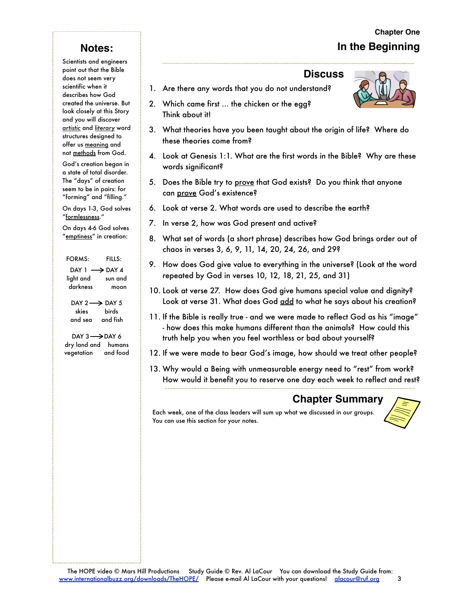# **Chapter One In the Beginning**

# **Notes:**

Scientists and engineers point out that the Bible does not seem very scientific when it describes how God created the universe. But look closely at this Story and you will discover *artistic* and *literary* word structures designed to offer us meaning and not methods from God.

God's creation began in a state of total disorder. The "days" of creation seem to be in pairs: for "forming" and "filling."

On days 1-3, God solves "formlessness."

On days 4-6 God solves "emptiness" in creation:

 FORMS: FILLS:  $DAY 1 \longrightarrow DAY 4$ light and sun and darkness moon

DAY  $2 \rightarrow$  DAY 5 skies birds and sea and fish

DAY  $3 \rightarrow$ DAY 6 dry land and humans vegetation and food

#### **Discuss**

- 1. Are there any words that you do not understand?
- 2. Which came first ... the chicken or the egg? Think about it!
- 3. What theories have you been taught about the origin of life? Where do these theories come from?
- 4. Look at Genesis 1:1. What are the first words in the Bible? Why are these words significant?
- 5. Does the Bible try to <u>prove</u> that God exists? Do you think that anyone can prove God's existence?
- 6. Look at verse 2. What words are used to describe the earth?
- 7. In verse 2, how was God present and active?
- 8. What set of words (a short phrase) describes how God brings order out of chaos in verses 3, 6, 9, 11, 14, 20, 24, 26, and 29?
- 9. How does God give value to everything in the universe? (Look at the word repeated by God in verses 10, 12, 18, 21, 25, and 31)
- 10. Look at verse 27. How does God give humans special value and dignity? Look at verse 31. What does God add to what he says about his creation?
- 11. If the Bible is really true and we were made to reflect God as his "image" - how does this make humans different than the animals? How could this truth help you when you feel worthless or bad about yourself?
- 12. If we were made to bear God's image, how should we treat other people?
- 13. Why would a Being with unmeasurable energy need to "rest" from work? How would it benefit you to reserve one day each week to reflect and rest?

# **Chapter Summary**

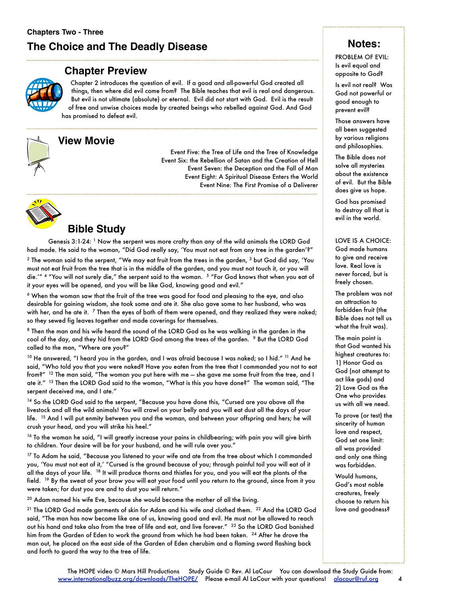#### **Chapter Preview**

Chapter 2 introduces the question of evil. If a good and all-powerful God created all things, then where did evil come from? The Bible teaches that evil is real and dangerous. But evil is not ultimate (absolute) or eternal. Evil did not start with God. Evil is the result of free and unwise choices made by created beings who rebelled against God. And God has promised to defeat evil.

# **View Movie**

Event Five: the Tree of Life and the Tree of Knowledge Event Six: the Rebellion of Satan and the Creation of Hell Event Seven: the Deception and the Fall of Man Event Eight: A Spiritual Disease Enters the World Event Nine: The First Promise of a Deliverer



## **Bible Study**

Genesis 3:1-24: 1 Now the serpent was more crafty than any of the wild animals the LORD God had made. He said to the woman, "Did God really say, 'You must not eat from any tree in the garden'?"

 $^2$  The woman said to the serpent, "We may eat fruit from the trees in the garden,  $^3$  but God did say, 'You must not eat fruit from the tree that is in the middle of the garden, and you must not touch it, or you will die.'" 4 "You will not surely die," the serpent said to the woman. 5 "For God knows that when you eat of it your eyes will be opened, and you will be like God, knowing good and evil."

6 When the woman saw that the fruit of the tree was good for food and pleasing to the eye, and also desirable for gaining wisdom, she took some and ate it. She also gave some to her husband, who was with her, and he ate it.  $7$  Then the eyes of both of them were opened, and they realized they were naked; so they sewed fig leaves together and made coverings for themselves.

<sup>8</sup> Then the man and his wife heard the sound of the LORD God as he was walking in the garden in the cool of the day, and they hid from the LORD God among the trees of the garden. <sup>9</sup> But the LORD God called to the man, "Where are you?"

 $10$  He answered, "I heard you in the garden, and I was afraid because I was naked; so I hid."  $^{11}$  And he said, "Who told you that you were naked? Have you eaten from the tree that I commanded you not to eat from?" 12 The man said, "The woman you put here with me — she gave me some fruit from the tree, and I ate it." <sup>13</sup> Then the LORD God said to the woman, "What is this you have done?" The woman said, "The serpent deceived me, and I ate."

14 So the LORD God said to the serpent, "Because you have done this, "Cursed are you above all the livestock and all the wild animals! You will crawl on your belly and you will eat dust all the days of your life. 15 And I will put enmity between you and the woman, and between your offspring and hers; he will crush your head, and you will strike his heel."

<sup>16</sup> To the woman he said, "I will greatly increase your pains in childbearing; with pain you will give birth to children. Your desire will be for your husband, and he will rule over you."

 $17$  To Adam he said, "Because you listened to your wife and ate from the tree about which I commanded you, 'You must not eat of it,' "Cursed is the ground because of you; through painful toil you will eat of it all the days of your life. <sup>18</sup> It will produce thorns and thistles for you, and you will eat the plants of the field. <sup>19</sup> By the sweat of your brow you will eat your food until you return to the ground, since from it you were taken; for dust you are and to dust you will return."

<sup>20</sup> Adam named his wife Eve, because she would become the mother of all the living.

21 The LORD God made garments of skin for Adam and his wife and clothed them. 22 And the LORD God said, "The man has now become like one of us, knowing good and evil. He must not be allowed to reach out his hand and take also from the tree of life and eat, and live forever." 23 So the LORD God banished him from the Garden of Eden to work the ground from which he had been taken. <sup>24</sup> After he drove the man out, he placed on the east side of the Garden of Eden cherubim and a flaming sword flashing back and forth to guard the way to the tree of life.

# **Notes:**

PROBLEM OF EVIL: Is evil equal and opposite to God?

Is evil not real? Was God not powerful or good enough to prevent evil?

Those answers have all been suggested by various religions and philosophies.

The Bible does not solve all mysteries about the existence of evil. But the Bible does give us hope.

God has promised to destroy all that is evil in the world.

LOVE IS A CHOICE: God made humans to give and receive love. Real love is never forced, but is freely chosen.

The problem was not an attraction to forbidden fruit (the Bible does not tell us what the fruit was).

The main point is that God wanted his highest creatures to: 1) Honor God as God (not attempt to act like gods) and 2) Love God as the One who provides us with all we need.

To prove (or test) the sincerity of human love and respect, God set one limit: all was provided and only one thing was forbidden.

Would humans, God's most noble creatures, freely choose to return his love and goodness?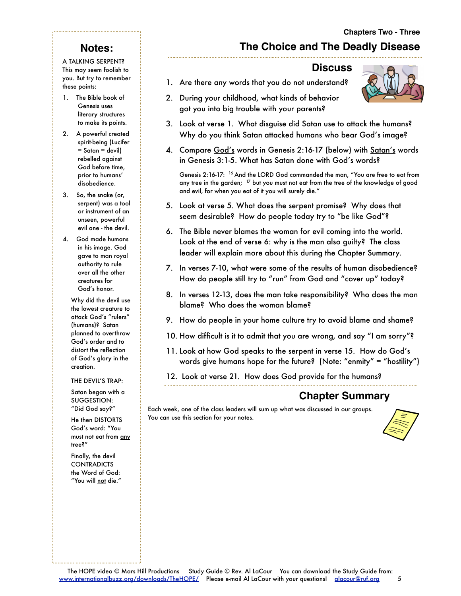# **Notes:**

A TALKING SERPENT? This may seem foolish to you. But try to remember these points:

- 1. The Bible book of Genesis uses literary structures to make its points.
- 2. A powerful created spirit-being (Lucifer = Satan = devil) rebelled against God before time, prior to humans' disobedience.
- 3. So, the snake (or, serpent) was a tool or instrument of an unseen, powerful evil one - the devil.
- 4. God made humans in his image. God gave to man royal authority to rule over all the other creatures for God's honor.

Why did the devil use the lowest creature to attack God's "rulers" (humans)? Satan planned to overthrow God's order and to distort the reflection of God's glory in the creation.

#### THE DEVIL'S TRAP:

Satan began with a SUGGESTION: "Did God say?"

He then DISTORTS God's word: "You must not eat from any tree?"

Finally, the devil **CONTRADICTS** the Word of God: "You will not die."

# **The Choice and The Deadly Disease**

#### **Discuss**

- 1. Are there any words that you do not understand?
- 2. During your childhood, what kinds of behavior got you into big trouble with your parents?
- 3. Look at verse 1. What disguise did Satan use to attack the humans? Why do you think Satan attacked humans who bear God's image?
- 4. Compare God's words in Genesis 2:16-17 (below) with Satan's words in Genesis 3:1-5. What has Satan done with God's words?

Genesis 2:16-17: 16 And the LORD God commanded the man, "You are free to eat from any tree in the garden; <sup>17</sup> but you must not eat from the tree of the knowledge of good and evil, for when you eat of it you will surely die."

- 5. Look at verse 5. What does the serpent promise? Why does that seem desirable? How do people today try to "be like God"?
- 6. The Bible never blames the woman for evil coming into the world. Look at the end of verse 6: why is the man also guilty? The class leader will explain more about this during the Chapter Summary.
- 7. In verses 7-10, what were some of the results of human disobedience? How do people still try to "run" from God and "cover up" today?
- 8. In verses 12-13, does the man take responsibility? Who does the man blame? Who does the woman blame?
- 9. How do people in your home culture try to avoid blame and shame?
- 10. How difficult is it to admit that you are wrong, and say "I am sorry"?
- 11. Look at how God speaks to the serpent in verse 15. How do God's words give humans hope for the future? (Note: "enmity" = "hostility")
- 12. Look at verse 21. How does God provide for the humans?

## **Chapter Summary**

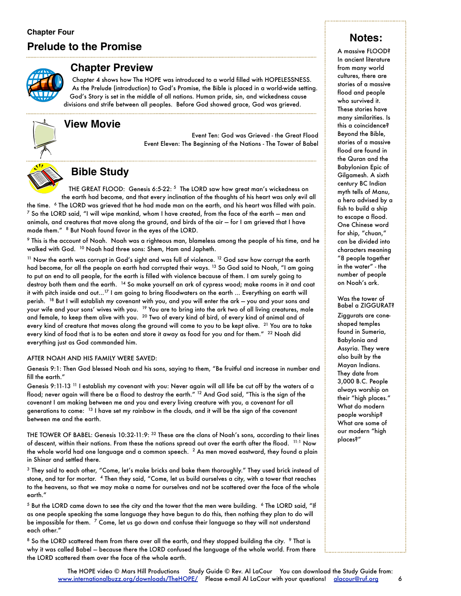#### **Chapter Four**

# **Prelude to the Promise**



#### **Chapter Preview**

Chapter 4 shows how The HOPE was introduced to a world filled with HOPELESSNESS. As the Prelude (introduction) to God's Promise, the Bible is placed in a world-wide setting. God's Story is set in the middle of all nations. Human pride, sin, and wickedness cause divisions and strife between all peoples. Before God showed grace, God was grieved.

#### **View Movie**

Event Ten: God was Grieved - the Great Flood Event Eleven: The Beginning of the Nations - The Tower of Babel



# **Bible Study**

THE GREAT FLOOD: Genesis 6:5-22: 5 The LORD saw how great man's wickedness on the earth had become, and that every inclination of the thoughts of his heart was only evil all

the time. <sup>6</sup> The LORD was grieved that he had made man on the earth, and his heart was filled with pain.  $^7$  So the LORD said, "I will wipe mankind, whom I have created, from the face of the earth — men and animals, and creatures that move along the ground, and birds of the air — for I am grieved that I have made them." 8 But Noah found favor in the eyes of the LORD.

9 This is the account of Noah. Noah was a righteous man, blameless among the people of his time, and he walked with God. 10 Noah had three sons: Shem, Ham and Japheth.

 $11$  Now the earth was corrupt in God's sight and was full of violence.  $12$  God saw how corrupt the earth had become, for all the people on earth had corrupted their ways. <sup>13</sup> So God said to Noah, "I am going to put an end to all people, for the earth is filled with violence because of them. I am surely going to destroy both them and the earth. 14 So make yourself an ark of cypress wood; make rooms in it and coat it with pitch inside and out...<sup>17</sup> I am going to bring floodwaters on the earth ... Everything on earth will perish. 18 But I will establish my covenant with you, and you will enter the ark — you and your sons and your wife and your sons' wives with you. <sup>19</sup> You are to bring into the ark two of all living creatures, male and female, to keep them alive with you. 20 Two of every kind of bird, of every kind of animal and of every kind of creature that moves along the ground will come to you to be kept alive. <sup>21</sup> You are to take every kind of food that is to be eaten and store it away as food for you and for them." <sup>22</sup> Noah did everything just as God commanded him.

#### AFTER NOAH AND HIS FAMILY WERE SAVED:

Genesis 9:1: Then God blessed Noah and his sons, saying to them, "Be fruitful and increase in number and fill the earth."

Genesis 9:11-13 11 I establish my covenant with you: Never again will all life be cut off by the waters of a flood; never again will there be a flood to destroy the earth." 12 And God said, "This is the sign of the covenant I am making between me and you and every living creature with you, a covenant for all generations to come: 13 I have set my rainbow in the clouds, and it will be the sign of the covenant between me and the earth.

THE TOWER OF BABEL: Genesis 10:32-11:9: <sup>32</sup> These are the clans of Noah's sons, according to their lines of descent, within their nations. From these the nations spread out over the earth after the flood. <sup>11:1</sup> Now the whole world had one language and a common speech. 2 As men moved eastward, they found a plain in Shinar and settled there.

3 They said to each other, "Come, let's make bricks and bake them thoroughly." They used brick instead of stone, and tar for mortar. 4 Then they said, "Come, let us build ourselves a city, with a tower that reaches to the heavens, so that we may make a name for ourselves and not be scattered over the face of the whole earth."

 $5$  But the LORD came down to see the city and the tower that the men were building.  $6$  The LORD said, "If as one people speaking the same language they have begun to do this, then nothing they plan to do will be impossible for them. <sup>7</sup> Come, let us go down and confuse their language so they will not understand each other."

8 So the LORD scattered them from there over all the earth, and they stopped building the city. 9 That is why it was called Babel — because there the LORD confused the language of the whole world. From there the LORD scattered them over the face of the whole earth.

# **Notes:**

A massive FLOOD? In ancient literature from many world cultures, there are stories of a massive flood and people who survived it. These stories have many similarities. Is this a coincidence? Beyond the Bible, stories of a massive flood are found in the Quran and the Babylonian Epic of Gilgamesh. A sixth century BC Indian myth tells of Manu, a hero advised by a fish to build a ship to escape a flood. One Chinese word for ship, "chuan," can be divided into characters meaning "8 people together in the water" - the number of people on Noah's ark.

#### Was the tower of Babel a ZIGGURAT?

Ziggurats are coneshaped temples found in Sumeria, Babylonia and Assyria. They were also built by the Mayan Indians. They date from 3,000 B.C. People always worship on their "high places." What do modern people worship? What are some of our modern "high places?"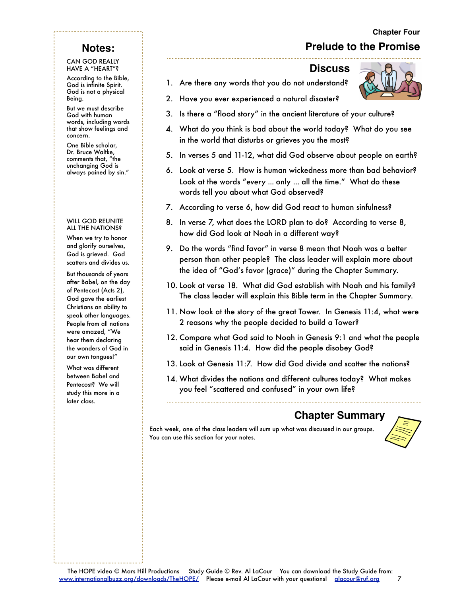#### **Chapter Four**

# **Prelude to the Promise**

#### **Notes:**

#### CAN GOD REALLY HAVE A "HEART"?

According to the Bible, God is infinite Spirit. God is not a physical Being.

But we must describe God with human words, including words that show feelings and concern.

One Bible scholar, Dr. Bruce Waltke, comments that, "the unchanging God is always pained by sin."

#### WILL GOD REUNITE ALL THE NATIONS?

When we try to honor and glorify ourselves, God is grieved. God scatters and divides us.

But thousands of years after Babel, on the day of Pentecost (Acts 2), God gave the earliest Christians an ability to speak other languages. People from all nations were amazed, "We hear them declaring the wonders of God in our own tongues!"

What was different between Babel and Pentecost? We will study this more in a later class.

#### **Discuss**

- 1. Are there any words that you do not understand?
- 2. Have you ever experienced a natural disaster?
- 3. Is there a "flood story" in the ancient literature of your culture?
- 4. What do you think is bad about the world today? What do you see in the world that disturbs or grieves you the most?
- 5. In verses 5 and 11-12, what did God observe about people on earth?
- 6. Look at verse 5. How is human wickedness more than bad behavior? Look at the words "*every* ... only ... all the time." What do these words tell you about what God observed?
- 7. According to verse 6, how did God react to human sinfulness?
- 8. In verse 7, what does the LORD plan to do? According to verse 8, how did God look at Noah in a different way?
- 9. Do the words "find favor" in verse 8 mean that Noah was a better person than other people? The class leader will explain more about the idea of "God's favor (grace)" during the Chapter Summary.
- 10. Look at verse 18. What did God establish with Noah and his family? The class leader will explain this Bible term in the Chapter Summary.
- 11. Now look at the story of the great Tower. In Genesis 11:4, what were 2 reasons why the people decided to build a Tower?
- 12. Compare what God said to Noah in Genesis 9:1 and what the people said in Genesis 11:4. How did the people disobey God?
- 13. Look at Genesis 11:7. How did God divide and scatter the nations?
- 14. What divides the nations and different cultures today? What makes you feel "scattered and confused" in your own life?

# **Chapter Summary**

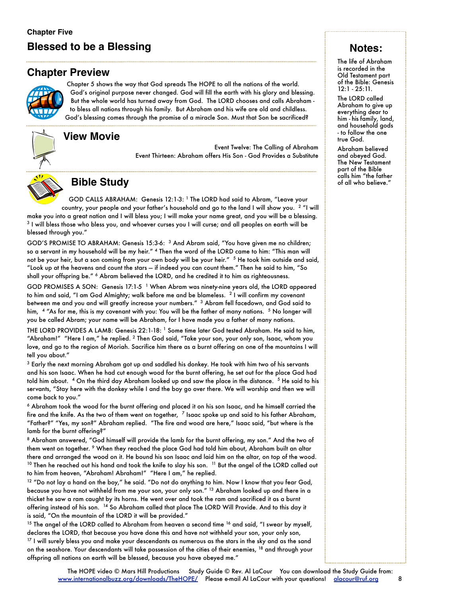# **Blessed to be a Blessing**

#### **Chapter Preview**



Chapter 5 shows the way that God spreads The HOPE to all the nations of the world. God's original purpose never changed. God will fill the earth with his glory and blessing. But the whole world has turned away from God. The LORD chooses and calls Abraham to bless all nations through his family. But Abraham and his wife are old and childless. God's blessing comes through the promise of a miracle Son. Must that Son be sacrificed?

#### **View Movie**

Event Twelve: The Calling of Abraham Event Thirteen: Abraham offers His Son - God Provides a Substitute



# **Bible Study**

GOD CALLS ABRAHAM: Genesis 12:1-3: <sup>1</sup> The LORD had said to Abram, "Leave your

country, your people and your father's household and go to the land I will show you.<sup>2</sup> "I will make you into a great nation and I will bless you; I will make your name great, and you will be a blessing. 3 I will bless those who bless you, and whoever curses you I will curse; and all peoples on earth will be blessed through you."

GOD'S PROMISE TO ABRAHAM: Genesis 15:3-6: 3 And Abram said, "You have given me no children; so a servant in my household will be my heir." 4 Then the word of the LORD came to him: "This man will not be your heir, but a son coming from your own body will be your heir." <sup>5</sup> He took him outside and said, "Look up at the heavens and count the stars — if indeed you can count them." Then he said to him, "So shall your offspring be." 6 Abram believed the LORD, and he credited it to him as righteousness.

GOD PROMISES A SON: Genesis 17:1-5 <sup>1</sup> When Abram was ninety-nine years old, the LORD appeared to him and said, "I am God Almighty; walk before me and be blameless. 2 I will confirm my covenant between me and you and will greatly increase your numbers." 3 Abram fell facedown, and God said to him, <sup>4</sup> "As for me, this is my covenant with you: You will be the father of many nations. <sup>5</sup> No longer will you be called Abram; your name will be Abraham, for I have made you a father of many nations.

THE LORD PROVIDES A LAMB: Genesis 22:1-18: 1 Some time later God tested Abraham. He said to him, "Abraham!" "Here I am," he replied. 2 Then God said, "Take your son, your only son, Isaac, whom you love, and go to the region of Moriah. Sacrifice him there as a burnt offering on one of the mountains I will tell you about."

 $3$  Early the next morning Abraham got up and saddled his donkey. He took with him two of his servants and his son Isaac. When he had cut enough wood for the burnt offering, he set out for the place God had told him about. 4 On the third day Abraham looked up and saw the place in the distance. 5 He said to his servants, "Stay here with the donkey while I and the boy go over there. We will worship and then we will come back to you."

6 Abraham took the wood for the burnt offering and placed it on his son Isaac, and he himself carried the fire and the knife. As the two of them went on together, <sup>7</sup> Isaac spoke up and said to his father Abraham, "Father?" "Yes, my son?" Abraham replied. "The fire and wood are here," Isaac said, "but where is the lamb for the burnt offering?"

8 Abraham answered, "God himself will provide the lamb for the burnt offering, my son." And the two of them went on together. 9 When they reached the place God had told him about, Abraham built an altar there and arranged the wood on it. He bound his son Isaac and laid him on the altar, on top of the wood.  $10$  Then he reached out his hand and took the knife to slay his son.  $11$  But the angel of the LORD called out to him from heaven, "Abraham! Abraham!" "Here I am," he replied.

 $12$  "Do not lay a hand on the boy," he said. "Do not do anything to him. Now I know that you fear God, because you have not withheld from me your son, your only son." 13 Abraham looked up and there in a thicket he saw a ram caught by its horns. He went over and took the ram and sacrificed it as a burnt offering instead of his son. 14 So Abraham called that place The LORD Will Provide. And to this day it is said, "On the mountain of the LORD it will be provided."

 $15$  The angel of the LORD called to Abraham from heaven a second time  $16$  and said, "I swear by myself, declares the LORD, that because you have done this and have not withheld your son, your only son, <sup>17</sup> I will surely bless you and make your descendants as numerous as the stars in the sky and as the sand on the seashore. Your descendants will take possession of the cities of their enemies, <sup>18</sup> and through your offspring all nations on earth will be blessed, because you have obeyed me."

## **Notes:**

The life of Abraham is recorded in the Old Testament part of the Bible: Genesis 12:1 - 25:11.

The LORD called Abraham to give up everything dear to him - his family, land, and household gods - to follow the one true God.

Abraham believed and obeyed God. The New Testament part of the Bible calls him "the father of all who believe."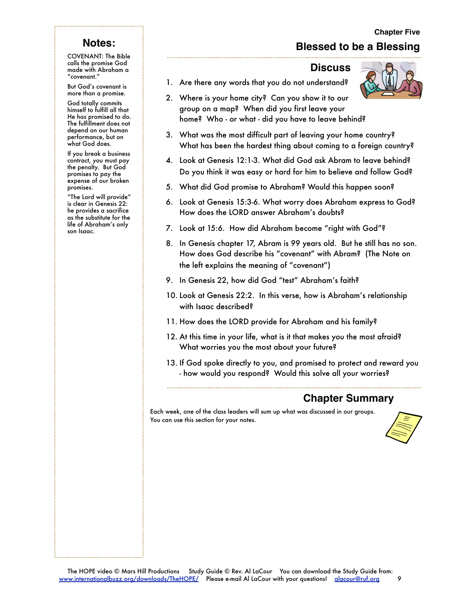# **Blessed to be a Blessing**

# **Notes:**

COVENANT: The Bible calls the promise God made with Abraham a "covenant."

But God's covenant is more than a promise.

God totally commits himself to fulfill all that He has promised to do. The fulfillment does not depend on our human performance, but on what God does.

If you break a business contract, you must pay the penalty. But God promises to pay the expense of our broken promises.

"The Lord will provide" is clear in Genesis 22: he provides a sacrifice as the substitute for the life of Abraham's only son Isaac.

#### **Discuss**

1. Are there any words that you do not understand?

- 2. Where is your home city? Can you show it to our group on a map? When did you first leave your home? Who - or what - did you have to leave behind?
- 3. What was the most difficult part of leaving your home country? What has been the hardest thing about coming to a foreign country?
- 4. Look at Genesis 12:1-3. What did God ask Abram to leave behind? Do you think it was easy or hard for him to believe and follow God?
- 5. What did God promise to Abraham? Would this happen soon?
- 6. Look at Genesis 15:3-6. What worry does Abraham express to God? How does the LORD answer Abraham's doubts?
- 7. Look at 15:6. How did Abraham become "right with God"?
- 8. In Genesis chapter 17, Abram is 99 years old. But he still has no son. How does God describe his "covenant" with Abram? (The Note on the left explains the meaning of "covenant")
- 9. In Genesis 22, how did God "test" Abraham's faith?
- 10. Look at Genesis 22:2. In this verse, how is Abraham's relationship with Isaac described?
- 11. How does the LORD provide for Abraham and his family?
- 12. At this time in your life, what is it that makes you the most afraid? What worries you the most about your future?
- 13. If God spoke directly to you, and promised to protect and reward you - how would you respond? Would this solve all your worries?

# **Chapter Summary**

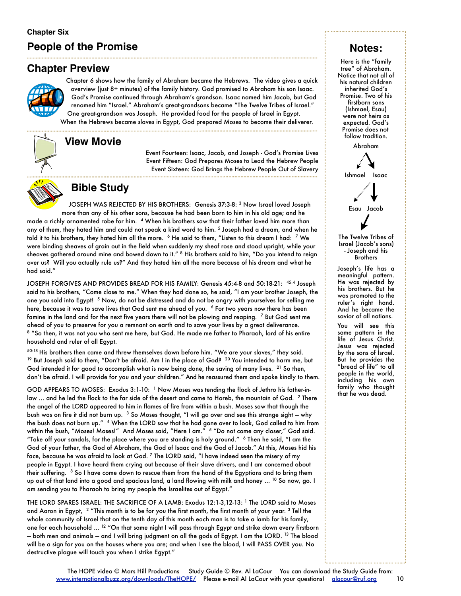# **People of the Promise**

# **Chapter Preview**



Chapter 6 shows how the family of Abraham became the Hebrews. The video gives a quick overview (just 8+ minutes) of the family history. God promised to Abraham his son Isaac. God's Promise continued through Abraham's grandson. Isaac named him Jacob, but God renamed him "Israel." Abraham's great-grandsons became "The Twelve Tribes of Israel." One great-grandson was Joseph. He provided food for the people of Israel in Egypt.

When the Hebrews became slaves in Egypt, God prepared Moses to become their deliverer.

## **View Movie**

Event Fourteen: Isaac, Jacob, and Joseph - God's Promise Lives Event Fifteen: God Prepares Moses to Lead the Hebrew People Event Sixteen: God Brings the Hebrew People Out of Slavery



# **Bible Study**

JOSEPH WAS REJECTED BY HIS BROTHERS: Genesis 37:3-8: 3 Now Israel loved Joseph more than any of his other sons, because he had been born to him in his old age; and he made a richly ornamented robe for him. 4 When his brothers saw that their father loved him more than any of them, they hated him and could not speak a kind word to him. 5 Joseph had a dream, and when he told it to his brothers, they hated him all the more. <sup>6</sup> He said to them, "Listen to this dream I had: <sup>7</sup> We were binding sheaves of grain out in the field when suddenly my sheaf rose and stood upright, while your sheaves gathered around mine and bowed down to it." 8 His brothers said to him, "Do you intend to reign over us? Will you actually rule us?" And they hated him all the more because of his dream and what he had said."

JOSEPH FORGIVES AND PROVIDES BREAD FOR HIS FAMILY: Genesis 45:4-8 and 50:18-21: 45:4 Joseph said to his brothers, "Come close to me." When they had done so, he said, "I am your brother Joseph, the one you sold into Egypt! <sup>5</sup> Now, do not be distressed and do not be angry with yourselves for selling me here, because it was to save lives that God sent me ahead of you. <sup>6</sup> For two years now there has been famine in the land and for the next five years there will not be plowing and reaping. <sup>7</sup> But God sent me ahead of you to preserve for you a remnant on earth and to save your lives by a great deliverance. 8 "So then, it was not you who sent me here, but God. He made me father to Pharaoh, lord of his entire household and ruler of all Egypt.

50:18 His brothers then came and threw themselves down before him. "We are your slaves," they said.  $19$  But Joseph said to them, "Don't be afraid. Am I in the place of God?  $20$  You intended to harm me, but God intended it for good to accomplish what is now being done, the saving of many lives.  $21$  So then, don't be afraid. I will provide for you and your children." And he reassured them and spoke kindly to them.

GOD APPEARS TO MOSES: Exodus 3:1-10: 1 Now Moses was tending the flock of Jethro his father-inlaw ... and he led the flock to the far side of the desert and came to Horeb, the mountain of God. <sup>2</sup> There the angel of the LORD appeared to him in flames of fire from within a bush. Moses saw that though the bush was on fire it did not burn up. <sup>3</sup> So Moses thought, "I will go over and see this strange sight – why the bush does not burn up." 4 When the LORD saw that he had gone over to look, God called to him from within the bush, "Moses! Moses!" And Moses said, "Here I am." <sup>5</sup> "Do not come any closer," God said. "Take off your sandals, for the place where you are standing is holy ground." 6 Then he said, "I am the God of your father, the God of Abraham, the God of Isaac and the God of Jacob." At this, Moses hid his face, because he was afraid to look at God. 7 The LORD said, "I have indeed seen the misery of my people in Egypt. I have heard them crying out because of their slave drivers, and I am concerned about their suffering. <sup>8</sup> So I have come down to rescue them from the hand of the Egyptians and to bring them up out of that land into a good and spacious land, a land flowing with milk and honey ... <sup>10</sup> So now, go. I am sending you to Pharaoh to bring my people the Israelites out of Egypt."

THE LORD SPARES ISRAEL: THE SACRIFICE OF A LAMB: Exodus 12:1-3,12-13: 1 The LORD said to Moses and Aaron in Egypt,  $2$  "This month is to be for you the first month, the first month of your year.  $3$  Tell the whole community of Israel that on the tenth day of this month each man is to take a lamb for his family, one for each household ... 12 "On that same night I will pass through Egypt and strike down every firstborn — both men and animals — and I will bring judgment on all the gods of Egypt. I am the LORD. 13 The blood will be a sign for you on the houses where you are; and when I see the blood, I will PASS OVER you. No destructive plague will touch you when I strike Egypt."

#### **Notes:**

Here is the "family tree" of Abraham. Notice that not all of his natural children inherited God's Promise. Two of his firstborn sons (Ishmael, Esau) were not heirs as expected. God's Promise does not follow tradition.

Abraham



The Twelve Tribes of Israel (Jacob's sons) - Joseph and his **Brothers** 

Joseph's life has a meaningful pattern. He was rejected by his brothers. But he was promoted to the ruler's right hand. And he became the savior of all nations.

You will see this same pattern in the life of Jesus Christ. Jesus was rejected by the sons of Israel. But he provides the "bread of life" to all people in the world, including his own family who thought that he was dead.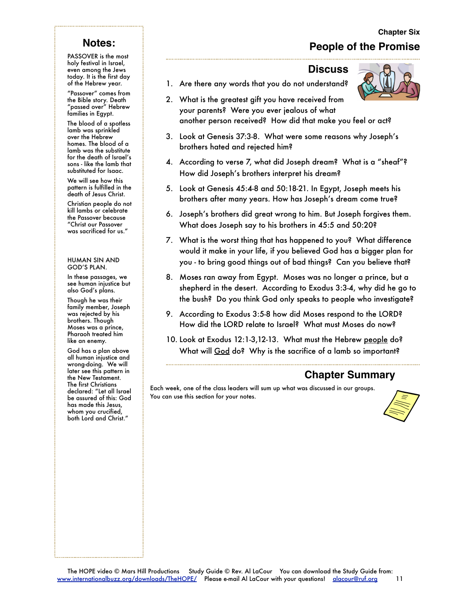# **Chapter Six People of the Promise**

#### **Discuss**

1. Are there any words that you do not understand?

- 2. What is the greatest gift you have received from your parents? Were you ever jealous of what another person received? How did that make you feel or act?
- 3. Look at Genesis 37:3-8. What were some reasons why Joseph's brothers hated and rejected him?
- 4. According to verse 7, what did Joseph dream? What is a "sheaf"? How did Joseph's brothers interpret his dream?
- 5. Look at Genesis 45:4-8 and 50:18-21. In Egypt, Joseph meets his brothers after many years. How has Joseph's dream come true?
- 6. Joseph's brothers did great wrong to him. But Joseph forgives them. What does Joseph say to his brothers in 45:5 and 50:20?
- 7. What is the worst thing that has happened to you? What difference would it make in your life, if you believed God has a bigger plan for you - to bring good things out of bad things? Can you believe that?
- 8. Moses ran away from Egypt. Moses was no longer a prince, but a shepherd in the desert. According to Exodus 3:3-4, why did he go to the bush? Do you think God only speaks to people who investigate?
- 9. According to Exodus 3:5-8 how did Moses respond to the LORD? How did the LORD relate to Israel? What must Moses do now?
- 10. Look at Exodus 12:1-3,12-13. What must the Hebrew people do? What will God do? Why is the sacrifice of a lamb so important?

#### **Chapter Summary**

Each week, one of the class leaders will sum up what was discussed in our groups. You can use this section for your notes.



# **Notes:**

PASSOVER is the most holy festival in Israel, even among the Jews today. It is the first day of the Hebrew year.

"Passover" comes from the Bible story. Death "passed over" Hebrew families in Egypt.

The blood of a spotless lamb was sprinkled over the Hebrew homes. The blood of a lamb was the substitute for the death of Israel's sons - like the lamb that substituted for Isaac.

We will see how this pattern is fulfilled in the death of Jesus Christ.

Christian people do not kill lambs or celebrate the Passover because "Christ our Passover was sacrificed for us."

#### HUMAN SIN AND GOD'S PLAN.

In these passages, we see human injustice but also God's plans.

Though he was their family member, Joseph was rejected by his brothers. Though Moses was a prince, Pharaoh treated him like an enemy.

God has a plan above all human injustice and wrong-doing. We will later see this pattern in the New Testament. The first Christians declared: "Let all Israel be assured of this: God has made this Jesus, whom you crucified, both Lord and Christ."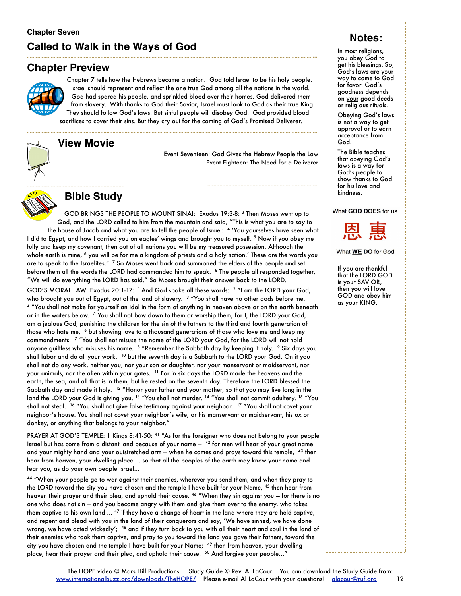# **Chapter Seven Called to Walk in the Ways of God**

# **Chapter Preview**



Chapter 7 tells how the Hebrews became a nation. God told Israel to be his holy people. Israel should represent and reflect the one true God among all the nations in the world. God had spared his people, and sprinkled blood over their homes. God delivered them from slavery. With thanks to God their Savior, Israel must look to God as their true King. They should follow God's laws. But sinful people will disobey God. God provided blood

sacrifices to cover their sins. But they cry out for the coming of God's Promised Deliverer.



# **View Movie**

Event Seventeen: God Gives the Hebrew People the Law Event Eighteen: The Need for a Deliverer



## **Bible Study**

GOD BRINGS THE PEOPLE TO MOUNT SINAI: Exodus 19:3-8: 3 Then Moses went up to God, and the LORD called to him from the mountain and said, "This is what you are to say to the house of Jacob and what you are to tell the people of Israel: 4 'You yourselves have seen what I did to Egypt, and how I carried you on eagles' wings and brought you to myself. 5 Now if you obey me fully and keep my covenant, then out of all nations you will be my treasured possession. Although the whole earth is mine, <sup>6</sup> you will be for me a kingdom of priests and a holy nation.' These are the words you are to speak to the Israelites." <sup>7</sup> So Moses went back and summoned the elders of the people and set before them all the words the LORD had commanded him to speak. <sup>8</sup> The people all responded together, "We will do everything the LORD has said." So Moses brought their answer back to the LORD.

GOD'S MORAL LAW: Exodus 20:1-17: <sup>1</sup> And God spoke all these words: <sup>2</sup> "I am the LORD your God, who brought you out of Egypt, out of the land of slavery. <sup>3</sup> "You shall have no other gods before me. 4 "You shall not make for yourself an idol in the form of anything in heaven above or on the earth beneath or in the waters below. <sup>5</sup> You shall not bow down to them or worship them; for I, the LORD your God, am a jealous God, punishing the children for the sin of the fathers to the third and fourth generation of those who hate me, <sup>6</sup> but showing love to a thousand generations of those who love me and keep my commandments. 7 "You shall not misuse the name of the LORD your God, for the LORD will not hold anyone guiltless who misuses his name. <sup>8</sup> "Remember the Sabbath day by keeping it holy. <sup>9</sup> Six days you shall labor and do all your work, 10 but the seventh day is a Sabbath to the LORD your God. On it you shall not do any work, neither you, nor your son or daughter, nor your manservant or maidservant, nor your animals, nor the alien within your gates. <sup>11</sup> For in six days the LORD made the heavens and the earth, the sea, and all that is in them, but he rested on the seventh day. Therefore the LORD blessed the Sabbath day and made it holy. <sup>12</sup> "Honor your father and your mother, so that you may live long in the land the LORD your God is giving you.<sup>13</sup> "You shall not murder.<sup>14</sup> "You shall not commit adultery.<sup>15</sup> "You shall not steal. <sup>16</sup> "You shall not give false testimony against your neighbor. <sup>17</sup> "You shall not covet your neighbor's house. You shall not covet your neighbor's wife, or his manservant or maidservant, his ox or donkey, or anything that belongs to your neighbor."

PRAYER AT GOD'S TEMPLE: 1 Kings 8:41-50: <sup>41</sup> "As for the foreigner who does not belong to your people Israel but has come from a distant land because of your name  $42$  for men will hear of your great name and your mighty hand and your outstretched arm – when he comes and prays toward this temple, <sup>43</sup> then hear from heaven, your dwelling place ... so that all the peoples of the earth may know your name and fear you, as do your own people Israel...

44 "When your people go to war against their enemies, wherever you send them, and when they pray to the LORD toward the city you have chosen and the temple I have built for your Name, 45 then hear from heaven their prayer and their plea, and uphold their cause. <sup>46</sup> "When they sin against you - for there is no one who does not sin — and you become angry with them and give them over to the enemy, who takes them captive to his own land ... 47 if they have a change of heart in the land where they are held captive, and repent and plead with you in the land of their conquerors and say, 'We have sinned, we have done wrong, we have acted wickedly'; <sup>48</sup> and if they turn back to you with all their heart and soul in the land of their enemies who took them captive, and pray to you toward the land you gave their fathers, toward the city you have chosen and the temple I have built for your Name; <sup>49</sup> then from heaven, your dwelling place, hear their prayer and their plea, and uphold their cause. <sup>50</sup> And forgive your people..."

# **Notes:**

In most religions, you obey God to get his blessings. So, God's laws are your way to come to God for favor. God's goodness depends on your good deeds or religious rituals.

Obeying God's laws is not a way to get approval or to earn acceptance from God.

The Bible teaches that obeying God's laws is a way for God's people to show thanks to God for his love and kindness.

What GOD DOES for us



What WE DO for God

If you are thankful that the LORD GOD is your SAVIOR, then you will love GOD and obey him as your KING.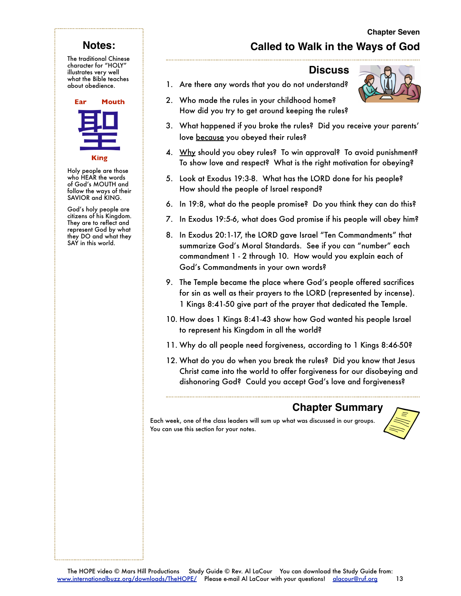# **Notes:**

The traditional Chinese character for "HOLY" illustrates very well what the Bible teaches about obedience.



Holy people are those who HEAR the words of God's MOUTH and follow the ways of their SAVIOR and KING.

God's holy people are citizens of his Kingdom. They are to reflect and represent God by what they DO and what they SAY in this world.

# **Called to Walk in the Ways of God**

#### **Discuss**

- 1. Are there any words that you do not understand?
	- 2. Who made the rules in your childhood home? How did you try to get around keeping the rules?
	- 3. What happened if you broke the rules? Did you receive your parents' love because you obeyed their rules?
	- 4. Why should you obey rules? To win approval? To avoid punishment? To show love and respect? What is the right motivation for obeying?
	- 5. Look at Exodus 19:3-8. What has the LORD done for his people? How should the people of Israel respond?
	- 6. In 19:8, what do the people promise? Do you think they can do this?
- 7. In Exodus 19:5-6, what does God promise if his people will obey him?
- 8. In Exodus 20:1-17, the LORD gave Israel "Ten Commandments" that summarize God's Moral Standards. See if you can "number" each commandment 1 - 2 through 10. How would you explain each of God's Commandments in your own words?
- 9. The Temple became the place where God's people offered sacrifices for sin as well as their prayers to the LORD (represented by incense). 1 Kings 8:41-50 give part of the prayer that dedicated the Temple.
- 10. How does 1 Kings 8:41-43 show how God wanted his people Israel to represent his Kingdom in all the world?
- 11. Why do all people need forgiveness, according to 1 Kings 8:46-50?
- 12. What do you do when you break the rules? Did you know that Jesus Christ came into the world to offer forgiveness for our disobeying and dishonoring God? Could you accept God's love and forgiveness?

# **Chapter Summary**

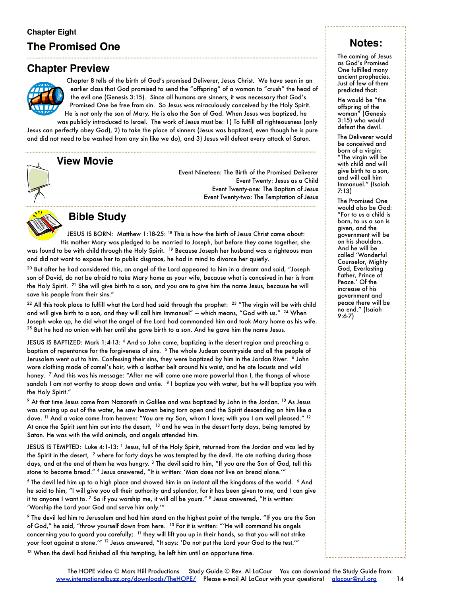# **The Promised One**

# **Chapter Preview**



Chapter 8 tells of the birth of God's promised Deliverer, Jesus Christ. We have seen in an earlier class that God promised to send the "offspring" of a woman to "crush" the head of the evil one (Genesis 3:15). Since all humans are sinners, it was necessary that God's Promised One be free from sin. So Jesus was miraculously conceived by the Holy Spirit.

He is not only the son of Mary. He is also the Son of God. When Jesus was baptized, he was publicly introduced to Israel. The work of Jesus must be: 1) To fulfill all righteousness (only

Jesus can perfectly obey God), 2) to take the place of sinners (Jesus was baptized, even though he is pure and did not need to be washed from any sin like we do), and 3) Jesus will defeat every attack of Satan.

#### **View Movie**



Event Nineteen: The Birth of the Promised Deliverer Event Twenty: Jesus as a Child Event Twenty-one: The Baptism of Jesus Event Twenty-two: The Temptation of Jesus



# **Bible Study**

JESUS IS BORN: Matthew 1:18-25: 18 This is how the birth of Jesus Christ came about: His mother Mary was pledged to be married to Joseph, but before they came together, she was found to be with child through the Holy Spirit. 19 Because Joseph her husband was a righteous man and did not want to expose her to public disgrace, he had in mind to divorce her quietly.

 $^{20}$  But after he had considered this, an angel of the Lord appeared to him in a dream and said, "Joseph son of David, do not be afraid to take Mary home as your wife, because what is conceived in her is from the Holy Spirit. 21 She will give birth to a son, and you are to give him the name Jesus, because he will save his people from their sins."

 $22$  All this took place to fulfill what the Lord had said through the prophet:  $23$  "The virgin will be with child and will give birth to a son, and they will call him Immanuel" — which means, "God with us." <sup>24</sup> When Joseph woke up, he did what the angel of the Lord had commanded him and took Mary home as his wife. <sup>25</sup> But he had no union with her until she gave birth to a son. And he gave him the name Jesus.

JESUS IS BAPTIZED: Mark 1:4-13: 4 And so John came, baptizing in the desert region and preaching a baptism of repentance for the forgiveness of sins. 5 The whole Judean countryside and all the people of Jerusalem went out to him. Confessing their sins, they were baptized by him in the Jordan River. 6 John wore clothing made of camel's hair, with a leather belt around his waist, and he ate locusts and wild honey. <sup>7</sup> And this was his message: "After me will come one more powerful than I, the thongs of whose sandals I am not worthy to stoop down and untie. <sup>8</sup> I baptize you with water, but he will baptize you with the Holy Spirit."

9 At that time Jesus came from Nazareth in Galilee and was baptized by John in the Jordan. 10 As Jesus was coming up out of the water, he saw heaven being torn open and the Spirit descending on him like a dove. <sup>11</sup> And a voice came from heaven: "You are my Son, whom I love; with you I am well pleased." <sup>12</sup> At once the Spirit sent him out into the desert, <sup>13</sup> and he was in the desert forty days, being tempted by Satan. He was with the wild animals, and angels attended him.

JESUS IS TEMPTED: Luke 4:1-13: <sup>1</sup> Jesus, full of the Holy Spirit, returned from the Jordan and was led by the Spirit in the desert, <sup>2</sup> where for forty days he was tempted by the devil. He ate nothing during those days, and at the end of them he was hungry. <sup>3</sup> The devil said to him, "If you are the Son of God, tell this stone to become bread." 4 Jesus answered, "It is written: 'Man does not live on bread alone.'"

5 The devil led him up to a high place and showed him in an instant all the kingdoms of the world. 6 And he said to him, "I will give you all their authority and splendor, for it has been given to me, and I can give it to anyone I want to. 7 So if you worship me, it will all be yours." 8 Jesus answered, "It is written: 'Worship the Lord your God and serve him only.'"

9 The devil led him to Jerusalem and had him stand on the highest point of the temple. "If you are the Son of God," he said, "throw yourself down from here. <sup>10</sup> For it is written: "'He will command his angels concerning you to guard you carefully; <sup>11</sup> they will lift you up in their hands, so that you will not strike your foot against a stone.'" 12 Jesus answered, "It says: 'Do not put the Lord your God to the test.'"

<sup>13</sup> When the devil had finished all this tempting, he left him until an opportune time.

# **Notes:**

The coming of Jesus as God's Promised One fulfilled many ancient prophecies. Just of few of them predicted that:

He would be "the offspring of the woman" (Genesis  $3:15$ ) who would defeat the devil.

The Deliverer would be conceived and born of a virgin: "The virgin will be with child and will give birth to a son, and will call him Immanuel." (Isaiah 7:13)

The Promised One would also be God: "For to us a child is born, to us a son is given, and the government will be on his shoulders. And he will be called 'Wonderful Counselor, Mighty God, Everlasting Father, Prince of Peace.' Of the increase of his government and peace there will be no end." (Isaiah 9:6-7)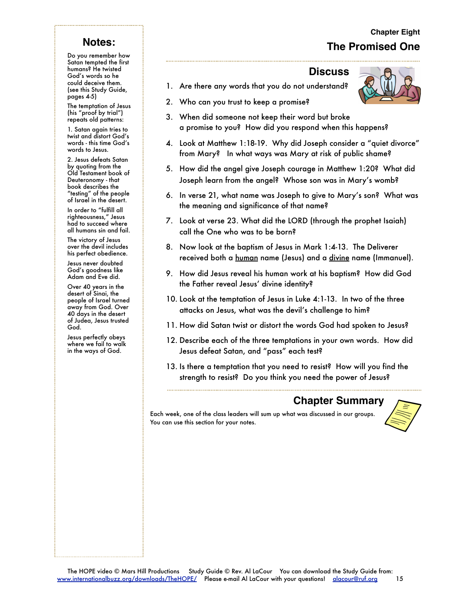# **Chapter Eight The Promised One**

# **Notes:**

Do you remember how Satan tempted the first humans? He twisted God's words so he could deceive them. (see this Study Guide, pages 4-5)

The temptation of Jesus (his "proof by trial") repeats old patterns:

1. Satan again tries to twist and distort God's words - this time God's words to Jesus.

2. Jesus defeats Satan by quoting from the Old Testament book of Deuteronomy - that book describes the "testing" of the people of Israel in the desert.

In order to "fulfill all righteousness," Jesus had to succeed where all humans sin and fail.

The victory of Jesus over the devil includes his perfect obedience.

Jesus never doubted God's goodness like Adam and Eve did.

Over 40 years in the desert of Sinai, the people of Israel turned away from God. Over 40 days in the desert of Judea, Jesus trusted God.

Jesus perfectly obeys where we fail to walk in the ways of God.

#### **Discuss**

1. Are there any words that you do not understand?



- 2. Who can you trust to keep a promise?
- 3. When did someone not keep their word but broke a promise to you? How did you respond when this happens?
- 4. Look at Matthew 1:18-19. Why did Joseph consider a "quiet divorce" from Mary? In what ways was Mary at risk of public shame?
- 5. How did the angel give Joseph courage in Matthew 1:20? What did Joseph learn from the angel? Whose son was in Mary's womb?
- 6. In verse 21, what name was Joseph to give to Mary's son? What was the meaning and significance of that name?
- 7. Look at verse 23. What did the LORD (through the prophet Isaiah) call the One who was to be born?
- 8. Now look at the baptism of Jesus in Mark 1:4-13. The Deliverer received both a human name (Jesus) and a divine name (Immanuel).
- 9. How did Jesus reveal his human work at his baptism? How did God the Father reveal Jesus' divine identity?
- 10. Look at the temptation of Jesus in Luke 4:1-13. In two of the three attacks on Jesus, what was the devil's challenge to him?
- 11. How did Satan twist or distort the words God had spoken to Jesus?
- 12. Describe each of the three temptations in your own words. How did Jesus defeat Satan, and "pass" each test?
- 13. Is there a temptation that you need to resist? How will you find the strength to resist? Do you think you need the power of Jesus?

# **Chapter Summary**

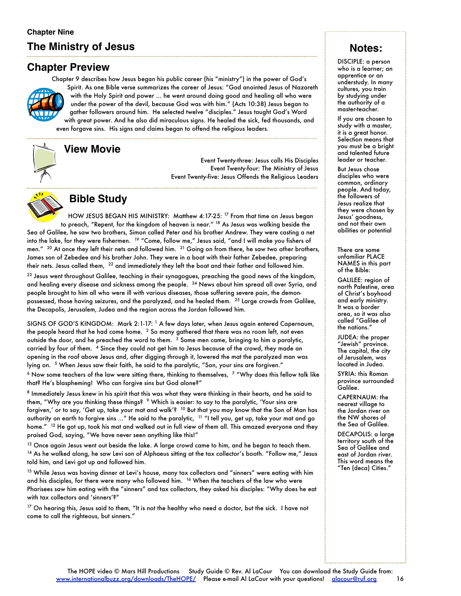# **The Ministry of Jesus**

# **Chapter Preview**

Chapter 9 describes how Jesus began his public career (his "ministry") in the power of God's Spirit. As one Bible verse summarizes the career of Jesus: "God anointed Jesus of Nazareth with the Holy Spirit and power ... he went around doing good and healing all who were under the power of the devil, because God was with him." (Acts 10:38) Jesus began to gather followers around him. He selected twelve "disciples." Jesus taught God's Word with great power. And he also did miraculous signs. He healed the sick, fed thousands, and

even forgave sins. His signs and claims began to offend the religious leaders.



# **View Movie**

Event Twenty-three: Jesus calls His Disciples Event Twenty-four: The Ministry of Jesus Event Twenty-five: Jesus Offends the Religious Leaders



# **Bible Study**

HOW JESUS BEGAN HIS MINISTRY: Matthew 4:17-25: <sup>17</sup> From that time on Jesus began to preach, "Repent, for the kingdom of heaven is near." 18 As Jesus was walking beside the Sea of Galilee, he saw two brothers, Simon called Peter and his brother Andrew. They were casting a net into the lake, for they were fishermen. 19 "Come, follow me," Jesus said, "and I will make you fishers of men." <sup>20</sup> At once they left their nets and followed him. <sup>21</sup> Going on from there, he saw two other brothers, James son of Zebedee and his brother John. They were in a boat with their father Zebedee, preparing their nets. Jesus called them, <sup>22</sup> and immediately they left the boat and their father and followed him.

<sup>23</sup> Jesus went throughout Galilee, teaching in their synagogues, preaching the good news of the kingdom, and healing every disease and sickness among the people. 24 News about him spread all over Syria, and people brought to him all who were ill with various diseases, those suffering severe pain, the demonpossessed, those having seizures, and the paralyzed, and he healed them. 25 Large crowds from Galilee, the Decapolis, Jerusalem, Judea and the region across the Jordan followed him.

SIGNS OF GOD'S KINGDOM: Mark 2:1-17: 1 A few days later, when Jesus again entered Capernaum, the people heard that he had come home. 2 So many gathered that there was no room left, not even outside the door, and he preached the word to them. 3 Some men came, bringing to him a paralytic, carried by four of them. <sup>4</sup> Since they could not get him to Jesus because of the crowd, they made an opening in the roof above Jesus and, after digging through it, lowered the mat the paralyzed man was lying on. <sup>5</sup> When Jesus saw their faith, he said to the paralytic, "Son, your sins are forgiven."  $6$  Now some teachers of the law were sitting there, thinking to themselves,  $7$  "Why does this fellow talk like

that? He's blaspheming! Who can forgive sins but God alone?"

8 Immediately Jesus knew in his spirit that this was what they were thinking in their hearts, and he said to them, "Why are you thinking these things? <sup>9</sup> Which is easier: to say to the paralytic, 'Your sins are forgiven,' or to say, 'Get up, take your mat and walk'? 10 But that you may know that the Son of Man has authority on earth to forgive sins ..." He said to the paralytic, <sup>11</sup> "I tell you, get up, take your mat and go home." <sup>12</sup> He got up, took his mat and walked out in full view of them all. This amazed everyone and they praised God, saying, "We have never seen anything like this!"

 $^{13}$  Once again Jesus went out beside the lake. A large crowd came to him, and he began to teach them. <sup>14</sup> As he walked along, he saw Levi son of Alphaeus sitting at the tax collector's booth. "Follow me," Jesus told him, and Levi got up and followed him.

 $15$  While Jesus was having dinner at Levi's house, many tax collectors and "sinners" were eating with him and his disciples, for there were many who followed him. 16 When the teachers of the law who were Pharisees saw him eating with the "sinners" and tax collectors, they asked his disciples: "Why does he eat with tax collectors and 'sinners'?"

<sup>17</sup> On hearing this, Jesus said to them, "It is not the healthy who need a doctor, but the sick. I have not come to call the righteous, but sinners."

# **Notes:**

DISCIPLE: a person who is a learner; an apprentice or an understudy. In many cultures, you train by studying under the authority of a master-teacher.

If you are chosen to study with a master, it is a great honor. Selection means that you must be a bright and talented future leader or teacher.

But Jesus chose disciples who were common, ordinary people. And today, the followers of Jesus realize that they were chosen by Jesus' goodness, and not their own abilities or potential

There are some unfamiliar PLACE NAMES in this part of the Bible:

GALILEE: region of north Palestine, area of Christ's boyhood and early ministry. It was a border area, so it was also called "Galilee of the nations."

JUDEA: the proper "Jewish" province. The capital, the city of Jerusalem, was located in Judea.

SYRIA: this Roman province surrounded Galilee.

CAPERNAUM: the nearest village to the Jordan river on the NW shores of the Sea of Galilee.

DECAPOLIS: a large territory south of the Sea of Galilee and east of Jordan river. This word means the "Ten (deca) Cities."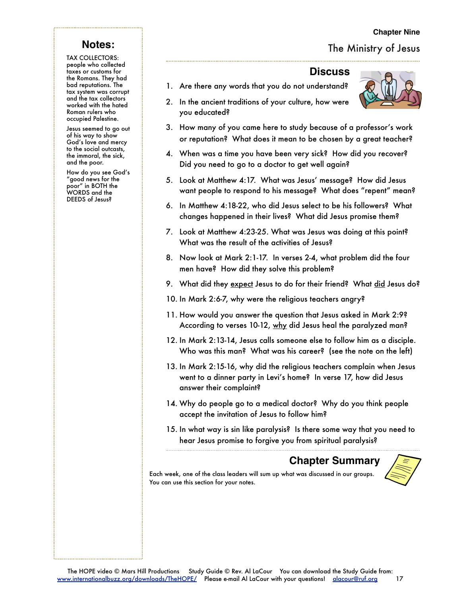#### **Chapter Nine**

# The Ministry of Jesus

# **Notes:**

TAX COLLECTORS: people who collected taxes or customs for the Romans. They had bad reputations. The tax system was corrupt and the tax collectors worked with the hated Roman rulers who occupied Palestine.

Jesus seemed to go out of his way to show God's love and mercy to the social outcasts, the immoral, the sick, and the poor.

How do you see God's "good news for the poor" in BOTH the WORDS and the DEEDS of Jesus?

#### **Discuss**

- 1. Are there any words that you do not understand?
- 2. In the ancient traditions of your culture, how were you educated?
- 3. How many of you came here to study because of a professor's work or reputation? What does it mean to be chosen by a great teacher?
- 4. When was a time you have been very sick? How did you recover? Did you need to go to a doctor to get well again?
- 5. Look at Matthew 4:17. What was Jesus' message? How did Jesus want people to respond to his message? What does "repent" mean?
- 6. In Matthew 4:18-22, who did Jesus select to be his followers? What changes happened in their lives? What did Jesus promise them?
- 7. Look at Matthew 4:23-25. What was Jesus was doing at this point? What was the result of the activities of Jesus?
- 8. Now look at Mark 2:1-17. In verses 2-4, what problem did the four men have? How did they solve this problem?
- 9. What did they expect Jesus to do for their friend? What did Jesus do?
- 10. In Mark 2:6-7, why were the religious teachers angry?
- 11. How would you answer the question that Jesus asked in Mark 2:9? According to verses 10-12, why did Jesus heal the paralyzed man?
- 12. In Mark 2:13-14, Jesus calls someone else to follow him as a disciple. Who was this man? What was his career? (see the note on the left)
- 13. In Mark 2:15-16, why did the religious teachers complain when Jesus went to a dinner party in Levi's home? In verse 17, how did Jesus answer their complaint?
- 14. Why do people go to a medical doctor? Why do you think people accept the invitation of Jesus to follow him?
- 15. In what way is sin like paralysis? Is there some way that you need to hear Jesus promise to forgive you from spiritual paralysis?

# **Chapter Summary**

Each week, one of the class leaders will sum up what was discussed in our groups. You can use this section for your notes.

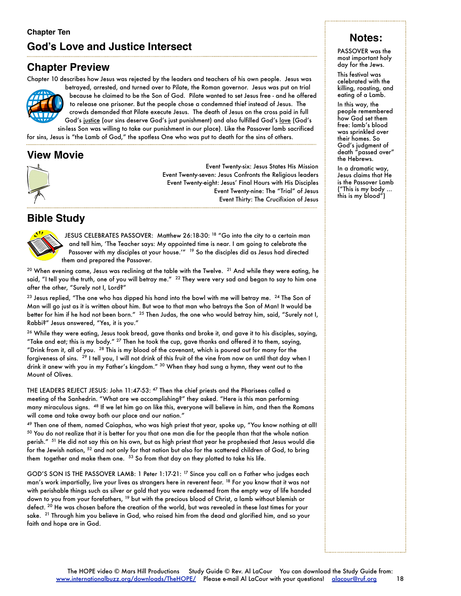# **Chapter Preview**

Chapter 10 describes how Jesus was rejected by the leaders and teachers of his own people. Jesus was



betrayed, arrested, and turned over to Pilate, the Roman governor. Jesus was put on trial because he claimed to be the Son of God. Pilate wanted to set Jesus free - and he offered to release one prisoner. But the people chose a condemned thief instead of Jesus. The crowds demanded that Pilate execute Jesus. The death of Jesus on the cross paid in full God's justice (our sins deserve God's just punishment) and also fulfilled God's love (God's

sin-less Son was willing to take our punishment in our place). Like the Passover lamb sacrificed for sins, Jesus is "the Lamb of God," the spotless One who was put to death for the sins of others.

# **View Movie**



Event Twenty-six: Jesus States His Mission Event Twenty-seven: Jesus Confronts the Religious leaders Event Twenty-eight: Jesus' Final Hours with His Disciples Event Twenty-nine: The "Trial" of Jesus Event Thirty: The Crucifixion of Jesus

# **Bible Study**



JESUS CELEBRATES PASSOVER: Matthew 26:18-30: <sup>18</sup> "Go into the city to a certain man and tell him, 'The Teacher says: My appointed time is near. I am going to celebrate the Passover with my disciples at your house.'" <sup>19</sup> So the disciples did as Jesus had directed them and prepared the Passover.

 $20$  When evening came, Jesus was reclining at the table with the Twelve.  $21$  And while they were eating, he said, "I tell you the truth, one of you will betray me."  $^{22}$  They were very sad and began to say to him one after the other, "Surely not I, Lord?"

 $^{23}$  Jesus replied, "The one who has dipped his hand into the bowl with me will betray me.  $^{24}$  The Son of Man will go just as it is written about him. But woe to that man who betrays the Son of Man! It would be better for him if he had not been born."<sup>25</sup> Then Judas, the one who would betray him, said, "Surely not I, Rabbi?" Jesus answered, "Yes, it is you."

<sup>26</sup> While they were eating, Jesus took bread, gave thanks and broke it, and gave it to his disciples, saying, "Take and eat; this is my body." 27 Then he took the cup, gave thanks and offered it to them, saying, "Drink from it, all of you.  $28$  This is my blood of the covenant, which is poured out for many for the forgiveness of sins. 29 I tell you, I will not drink of this fruit of the vine from now on until that day when I drink it anew with you in my Father's kingdom." 30 When they had sung a hymn, they went out to the Mount of Olives.

THE LEADERS REJECT JESUS: John 11:47-53: 47 Then the chief priests and the Pharisees called a meeting of the Sanhedrin. "What are we accomplishing?" they asked. "Here is this man performing many miraculous signs. 48 If we let him go on like this, everyone will believe in him, and then the Romans will come and take away both our place and our nation."

49 Then one of them, named Caiaphas, who was high priest that year, spoke up, "You know nothing at all!  $50$  You do not realize that it is better for you that one man die for the people than that the whole nation perish." <sup>51</sup> He did not say this on his own, but as high priest that year he prophesied that Jesus would die for the Jewish nation, <sup>52</sup> and not only for that nation but also for the scattered children of God, to bring them together and make them one. <sup>53</sup> So from that day on they plotted to take his life.

GOD'S SON IS THE PASSOVER LAMB: 1 Peter 1:17-21: 17 Since you call on a Father who judges each man's work impartially, live your lives as strangers here in reverent fear. 18 For you know that it was not with perishable things such as silver or gold that you were redeemed from the empty way of life handed down to you from your forefathers, 19 but with the precious blood of Christ, a lamb without blemish or defect. 20 He was chosen before the creation of the world, but was revealed in these last times for your sake. <sup>21</sup> Through him you believe in God, who raised him from the dead and glorified him, and so your faith and hope are in God.

# **Notes:**

PASSOVER was the most important holy day for the Jews.

This festival was celebrated with the killing, roasting, and eating of a Lamb.

In this way, the people remembered how God set them free: lamb's blood was sprinkled over their homes. So God's judgment of death "passed over" the Hebrews.

In a dramatic way, Jesus claims that He is the Passover Lamb ("This is my body ... this is my blood")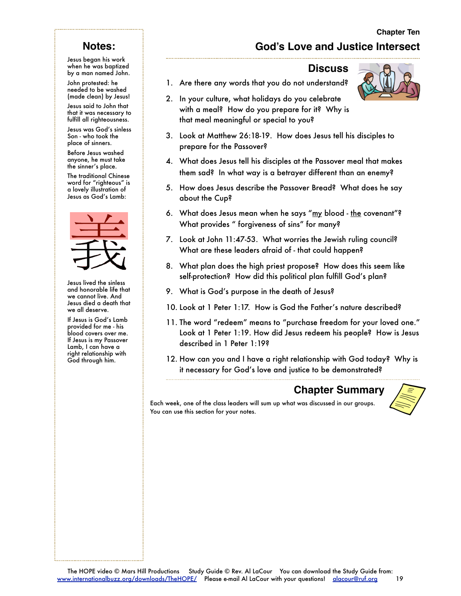# **God's Love and Justice Intersect**

# **Notes:**

Jesus began his work when he was baptized by a man named John.

John protested: he needed to be washed (made clean) by Jesus!

Jesus said to John that that it was necessary to fulfill all righteousness.

Jesus was God's sinless Son - who took the place of sinners.

Before Jesus washed anyone, he must take the sinner's place.

The traditional Chinese word for "righteous" is a lovely illustration of Jesus as God's Lamb:



Jesus lived the sinless and honorable life that we cannot live. And Jesus died a death that we all deserve.

If Jesus is God's Lamb provided for me - his blood covers over me. If Jesus is my Passover Lamb, I can have a right relationship with God through him.

## **Discuss**

- 1. Are there any words that you do not understand?
- 2. In your culture, what holidays do you celebrate with a meal? How do you prepare for it? Why is that meal meaningful or special to you?
- 3. Look at Matthew 26:18-19. How does Jesus tell his disciples to prepare for the Passover?
- 4. What does Jesus tell his disciples at the Passover meal that makes them sad? In what way is a betrayer different than an enemy?
- 5. How does Jesus describe the Passover Bread? What does he say about the Cup?
- 6. What does Jesus mean when he says "my blood the covenant"? What provides " forgiveness of sins" for many?
- 7. Look at John 11:47-53. What worries the Jewish ruling council? What are these leaders afraid of - that could happen?
- 8. What plan does the high priest propose? How does this seem like self-protection? How did this political plan fulfill God's plan?
- 9. What is God's purpose in the death of Jesus?
- 10. Look at 1 Peter 1:17. How is God the Father's nature described?
- 11. The word "redeem" means to "purchase freedom for your loved one." Look at 1 Peter 1:19. How did Jesus redeem his people? How is Jesus described in 1 Peter 1:19?
- 12. How can you and I have a right relationship with God today? Why is it necessary for God's love and justice to be demonstrated?

#### **Chapter Summary**



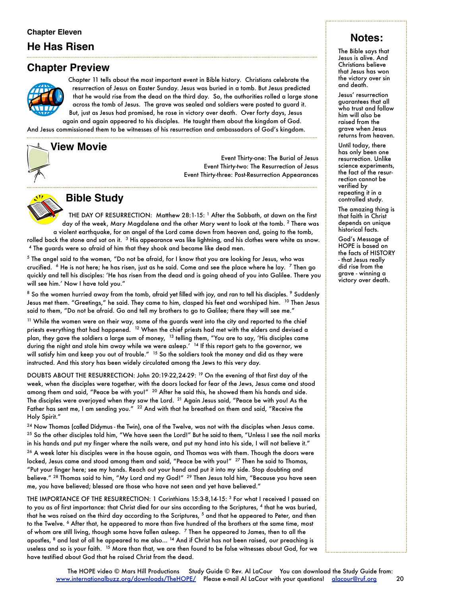# **He Has Risen**

# **Chapter Preview**



Chapter 11 tells about the most important event in Bible history. Christians celebrate the resurrection of Jesus on Easter Sunday. Jesus was buried in a tomb. But Jesus predicted that he would rise from the dead on the third day. So, the authorities rolled a large stone across the tomb of Jesus. The grave was sealed and soldiers were posted to guard it.

But, just as Jesus had promised, he rose in victory over death. Over forty days, Jesus again and again appeared to his disciples. He taught them about the kingdom of God.

And Jesus commissioned them to be witnesses of his resurrection and ambassadors of God's kingdom.

# **View Movie**

Event Thirty-one: The Burial of Jesus Event Thirty-two: The Resurrection of Jesus Event Thirty-three: Post-Resurrection Appearances



#### **Bible Study**

THE DAY OF RESURRECTION: Matthew 28:1-15: <sup>1</sup> After the Sabbath, at dawn on the first day of the week, Mary Magdalene and the other Mary went to look at the tomb. 2 There was a violent earthquake, for an angel of the Lord came down from heaven and, going to the tomb, rolled back the stone and sat on it.  $3$  His appearance was like lightning, and his clothes were white as snow. 4 The guards were so afraid of him that they shook and became like dead men.

5 The angel said to the women, "Do not be afraid, for I know that you are looking for Jesus, who was crucified.  $6$  He is not here; he has risen, just as he said. Come and see the place where he lay.  $7$  Then go quickly and tell his disciples: 'He has risen from the dead and is going ahead of you into Galilee. There you will see him.' Now I have told you."

<sup>8</sup> So the women hurried away from the tomb, afraid yet filled with joy, and ran to tell his disciples. <sup>9</sup> Suddenly Jesus met them. "Greetings," he said. They came to him, clasped his feet and worshiped him. <sup>10</sup> Then Jesus said to them, "Do not be afraid. Go and tell my brothers to go to Galilee; there they will see me."

<sup>11</sup> While the women were on their way, some of the guards went into the city and reported to the chief priests everything that had happened. 12 When the chief priests had met with the elders and devised a plan, they gave the soldiers a large sum of money, <sup>13</sup> telling them, "You are to say, 'His disciples came during the night and stole him away while we were asleep.' <sup>14</sup> If this report gets to the governor, we will satisfy him and keep you out of trouble." <sup>15</sup> So the soldiers took the money and did as they were instructed. And this story has been widely circulated among the Jews to this very day.

DOUBTS ABOUT THE RESURRECTION: John 20:19-22,24-29: 19 On the evening of that first day of the week, when the disciples were together, with the doors locked for fear of the Jews, Jesus came and stood among them and said, "Peace be with you!" <sup>20</sup> After he said this, he showed them his hands and side. The disciples were overjoyed when they saw the Lord. <sup>21</sup> Again Jesus said, "Peace be with you! As the Father has sent me, I am sending you." <sup>22</sup> And with that he breathed on them and said, "Receive the Holy Spirit."

<sup>24</sup> Now Thomas (called Didymus - the Twin), one of the Twelve, was not with the disciples when Jesus came.  $25$  So the other disciples told him, "We have seen the Lord!" But he said to them, "Unless I see the nail marks in his hands and put my finger where the nails were, and put my hand into his side, I will not believe it."

 $26$  A week later his disciples were in the house again, and Thomas was with them. Though the doors were locked, Jesus came and stood among them and said, "Peace be with you!" <sup>27</sup> Then he said to Thomas, "Put your finger here; see my hands. Reach out your hand and put it into my side. Stop doubting and believe." <sup>28</sup> Thomas said to him, "My Lord and my God!" <sup>29</sup> Then Jesus told him, "Because you have seen me, you have believed; blessed are those who have not seen and yet have believed."

THE IMPORTANCE OF THE RESURRECTION: 1 Corinthians 15:3-8,14-15: 3 For what I received I passed on to you as of first importance: that Christ died for our sins according to the Scriptures, 4 that he was buried, that he was raised on the third day according to the Scriptures, <sup>5</sup> and that he appeared to Peter, and then to the Twelve. <sup>6</sup> After that, he appeared to more than five hundred of the brothers at the same time, most of whom are still living, though some have fallen asleep. 7 Then he appeared to James, then to all the apostles, 8 and last of all he appeared to me also... <sup>14</sup> And if Christ has not been raised, our preaching is useless and so is your faith. 15 More than that, we are then found to be false witnesses about God, for we have testified about God that he raised Christ from the dead.

# **Notes:**

The Bible says that Jesus is alive. And Christians believe that Jesus has won the victory over sin and death.

Jesus' resurrection guarantees that all who trust and follow him will also be raised from the grave when Jesus returns from heaven.

Until today, there has only been one resurrection. Unlike science experiments, the fact of the resurrection cannot be verified by repeating it in a controlled study.

The amazing thing is that faith in Christ depends on unique historical facts.

God's Message of HOPE is based on the facts of HISTORY - that Jesus really did rise from the grave - winning a victory over death.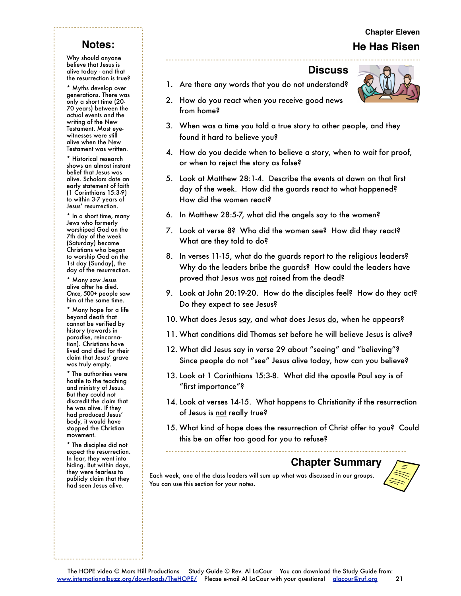# **Chapter Eleven He Has Risen**

# **Notes:**

Why should anyone believe that Jesus is alive today - and that the resurrection is true?

\* Myths develop over generations. There was only a short time (20- 70 years) between the actual events and the writing of the New Testament. Most eyewitnesses were still alive when the New Testament was written.

\* Historical research shows an almost instant belief that Jesus was alive. Scholars date an early statement of faith (1 Corinthians 15:3-9) to within 3-7 years of Jesus' resurrection.

\* In a short time, many Jews who formerly worshiped God on the 7th day of the week (Saturday) became Christians who began to worship God on the 1st day (Sunday), the day of the resurrection.

\* Many saw Jesus alive after he died. Once, 500+ people saw him at the same time.

\* Many hope for a life beyond death that cannot be verified by history (rewards in paradise, reincarnation). Christians have lived and died for their claim that Jesus' grave was truly empty.

\* The authorities were hostile to the teaching and ministry of Jesus. But they could not discredit the claim that he was alive. If they had produced Jesus' body, it would have stopped the Christian movement.

\* The disciples did not expect the resurrection. In fear, they went into hiding. But within days, they were fearless to publicly claim that they had seen Jesus alive.

#### **Discuss**

- 1. Are there any words that you do not understand?
- 2. How do you react when you receive good news from home?
- 3. When was a time you told a true story to other people, and they found it hard to believe you?
- 4. How do you decide when to believe a story, when to wait for proof, or when to reject the story as false?
- 5. Look at Matthew 28:1-4. Describe the events at dawn on that first day of the week. How did the guards react to what happened? How did the women react?
- 6. In Matthew 28:5-7, what did the angels say to the women?
- 7. Look at verse 8? Who did the women see? How did they react? What are they told to do?
- 8. In verses 11-15, what do the guards report to the religious leaders? Why do the leaders bribe the guards? How could the leaders have proved that Jesus was not raised from the dead?
- 9. Look at John 20:19-20. How do the disciples feel? How do they act? Do they expect to see Jesus?
- 10. What does Jesus say, and what does Jesus do, when he appears?
- 11. What conditions did Thomas set before he will believe Jesus is alive?
- 12. What did Jesus say in verse 29 about "seeing" and "believing"? Since people do not "see" Jesus alive today, how can you believe?
- 13. Look at 1 Corinthians 15:3-8. What did the apostle Paul say is of "first importance"?
- 14. Look at verses 14-15. What happens to Christianity if the resurrection of Jesus is <u>not</u> really true?
- 15. What kind of hope does the resurrection of Christ offer to you? Could this be an offer too good for you to refuse?

# **Chapter Summary**

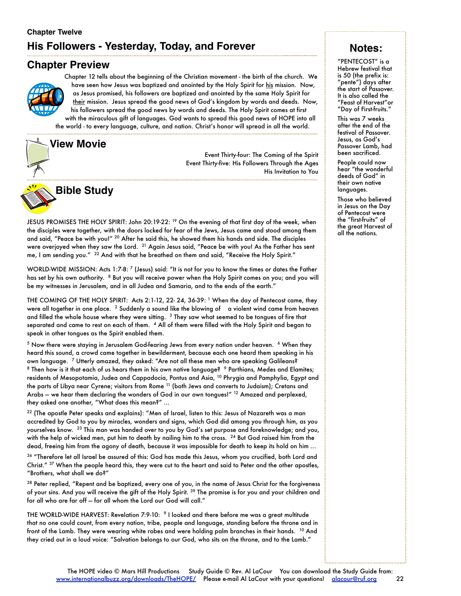# **Chapter Twelve His Followers - Yesterday, Today, and Forever**

# **Chapter Preview**



Chapter 12 tells about the beginning of the Christian movement - the birth of the church. We have seen how Jesus was baptized and anointed by the Holy Spirit for his mission. Now, as Jesus promised, his followers are baptized and anointed by the same Holy Spirit for their mission. Jesus spread the good news of God's kingdom by words and deeds. Now, his followers spread the good news by words and deeds. The Holy Spirit comes at first with the miraculous gift of languages. God wants to spread this good news of HOPE into all

the world - to every language, culture, and nation. Christ's honor will spread in all the world.



Event Thirty-four: The Coming of the Spirit Event Thirty-five: His Followers Through the Ages His Invitation to You



JESUS PROMISES THE HOLY SPIRIT: John 20:19-22: <sup>19</sup> On the evening of that first day of the week, when the disciples were together, with the doors locked for fear of the Jews, Jesus came and stood among them and said, "Peace be with you!" 20 After he said this, he showed them his hands and side. The disciples were overjoyed when they saw the Lord. <sup>21</sup> Again Jesus said, "Peace be with you! As the Father has sent me, I am sending you." <sup>22</sup> And with that he breathed on them and said, "Receive the Holy Spirit."

WORLD-WIDE MISSION: Acts 1:7-8: 7 (Jesus) said: "It is not for you to know the times or dates the Father has set by his own authority. 8 But you will receive power when the Holy Spirit comes on you; and you will be my witnesses in Jerusalem, and in all Judea and Samaria, and to the ends of the earth."

THE COMING OF THE HOLY SPIRIT: Acts 2:1-12, 22- 24, 36-39: <sup>1</sup> When the day of Pentecost came, they were all together in one place. <sup>2</sup> Suddenly a sound like the blowing of a violent wind came from heaven and filled the whole house where they were sitting. <sup>3</sup> They saw what seemed to be tongues of fire that separated and came to rest on each of them. 4 All of them were filled with the Holy Spirit and began to speak in other tongues as the Spirit enabled them.

<sup>5</sup> Now there were staying in Jerusalem God-fearing Jews from every nation under heaven. <sup>6</sup> When they heard this sound, a crowd came together in bewilderment, because each one heard them speaking in his own language. 7 Utterly amazed, they asked: "Are not all these men who are speaking Galileans? <sup>8</sup> Then how is it that each of us hears them in his own native language? <sup>9</sup> Parthians, Medes and Elamites; residents of Mesopotamia, Judea and Cappadocia, Pontus and Asia, <sup>10</sup> Phrygia and Pamphylia, Egypt and the parts of Libya near Cyrene; visitors from Rome 11 (both Jews and converts to Judaism); Cretans and Arabs — we hear them declaring the wonders of God in our own tongues!" 12 Amazed and perplexed, they asked one another, "What does this mean?" ...

22 (The apostle Peter speaks and explains): "Men of Israel, listen to this: Jesus of Nazareth was a man accredited by God to you by miracles, wonders and signs, which God did among you through him, as you yourselves know. 23 This man was handed over to you by God's set purpose and foreknowledge; and you, with the help of wicked men, put him to death by nailing him to the cross. <sup>24</sup> But God raised him from the dead, freeing him from the agony of death, because it was impossible for death to keep its hold on him ...

 $36$  "Therefore let all Israel be assured of this: God has made this Jesus, whom you crucified, both Lord and Christ." 37 When the people heard this, they were cut to the heart and said to Peter and the other apostles, "Brothers, what shall we do?"

 $38$  Peter replied, "Repent and be baptized, every one of you, in the name of Jesus Christ for the forgiveness of your sins. And you will receive the gift of the Holy Spirit. <sup>39</sup> The promise is for you and your children and for all who are far off — for all whom the Lord our God will call."

THE WORLD-WIDE HARVEST: Revelation 7:9-10: 9 I looked and there before me was a great multitude that no one could count, from every nation, tribe, people and language, standing before the throne and in front of the Lamb. They were wearing white robes and were holding palm branches in their hands. <sup>10</sup> And they cried out in a loud voice: "Salvation belongs to our God, who sits on the throne, and to the Lamb."

# **Notes:**

"PENTECOST" is a Hebrew festival that is 50 (the prefix is: "pente") days after the start of Passover. It is also called the "Feast of Harvest"or "Day of First-fruits."

This was 7 weeks after the end of the festival of Passover. Jesus, as God's Passover Lamb, had been sacrificed.

People could now hear "the wonderful deeds of God" in their own native languages.

Those who believed in Jesus on the Day of Pentecost were the "first-fruits" of the great Harvest of all the nations.